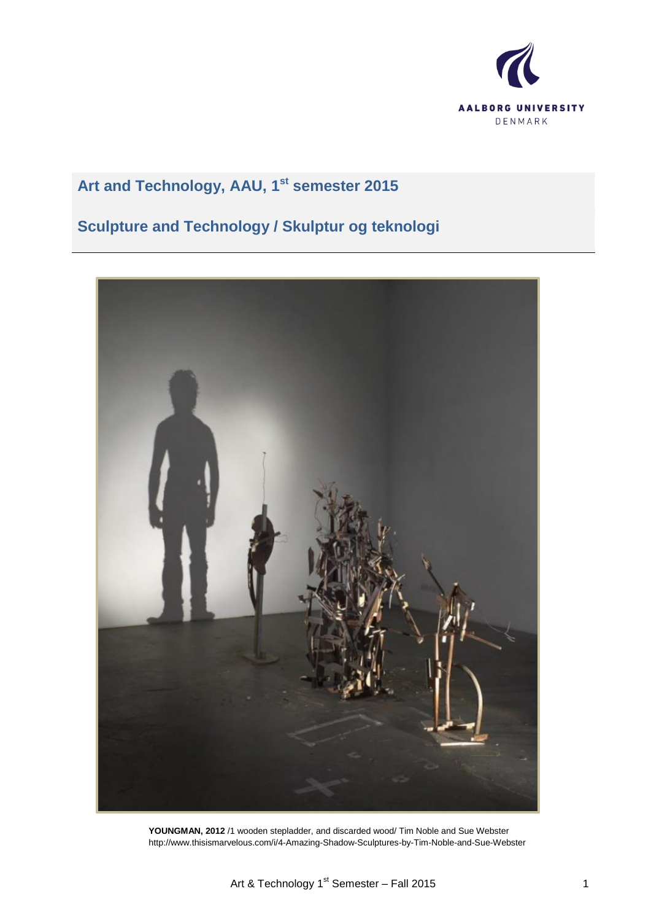

# **Art and Technology, AAU, 1 st semester 2015**

# **Sculpture and Technology / Skulptur og teknologi**



**YOUNGMAN, 2012** /1 wooden stepladder, and discarded wood/ Tim Noble and Sue Webster http://www.thisismarvelous.com/i/4-Amazing-Shadow-Sculptures-by-Tim-Noble-and-Sue-Webster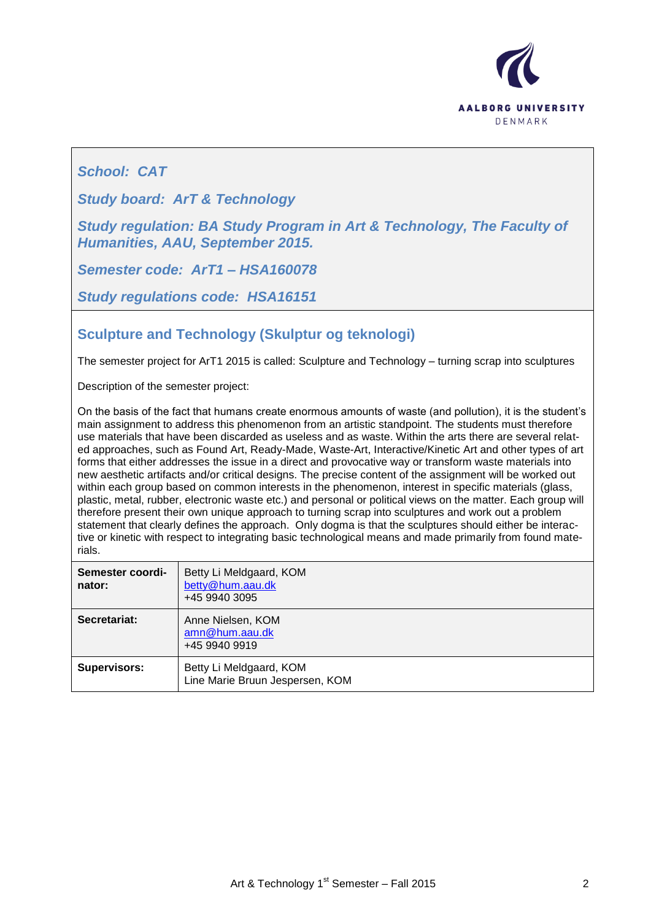

*School: CAT*

*Study board: ArT & Technology*

*Study regulation: BA Study Program in Art & Technology, The Faculty of Humanities, AAU, September 2015.*

*Semester code: ArT1 – HSA160078*

*Study regulations code: HSA16151*

### **Sculpture and Technology (Skulptur og teknologi)**

The semester project for ArT1 2015 is called: Sculpture and Technology – turning scrap into sculptures

Description of the semester project:

On the basis of the fact that humans create enormous amounts of waste (and pollution), it is the student's main assignment to address this phenomenon from an artistic standpoint. The students must therefore use materials that have been discarded as useless and as waste. Within the arts there are several related approaches, such as Found Art, Ready-Made, Waste-Art, Interactive/Kinetic Art and other types of art forms that either addresses the issue in a direct and provocative way or transform waste materials into new aesthetic artifacts and/or critical designs. The precise content of the assignment will be worked out within each group based on common interests in the phenomenon, interest in specific materials (glass, plastic, metal, rubber, electronic waste etc.) and personal or political views on the matter. Each group will therefore present their own unique approach to turning scrap into sculptures and work out a problem statement that clearly defines the approach. Only dogma is that the sculptures should either be interactive or kinetic with respect to integrating basic technological means and made primarily from found materials.

| Semester coordi-<br>nator: | Betty Li Meldgaard, KOM<br>betty@hum.aau.dk<br>+45 9940 3095 |
|----------------------------|--------------------------------------------------------------|
| Secretariat:               | Anne Nielsen, KOM<br>amn@hum.aau.dk<br>+45 9940 9919         |
| <b>Supervisors:</b>        | Betty Li Meldgaard, KOM<br>Line Marie Bruun Jespersen, KOM   |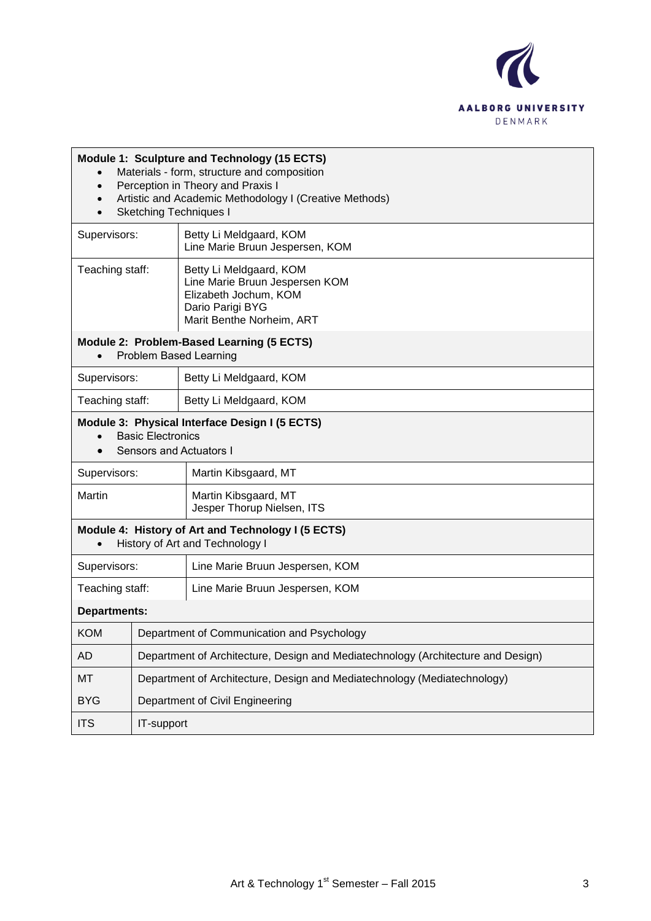

| Module 1: Sculpture and Technology (15 ECTS)<br>Materials - form, structure and composition<br>$\bullet$<br>Perception in Theory and Praxis I<br>$\bullet$<br>Artistic and Academic Methodology I (Creative Methods)<br>$\bullet$<br><b>Sketching Techniques I</b><br>$\bullet$ |                                                                                                       |                                                                                                                                     |  |
|---------------------------------------------------------------------------------------------------------------------------------------------------------------------------------------------------------------------------------------------------------------------------------|-------------------------------------------------------------------------------------------------------|-------------------------------------------------------------------------------------------------------------------------------------|--|
| Supervisors:                                                                                                                                                                                                                                                                    |                                                                                                       | Betty Li Meldgaard, KOM<br>Line Marie Bruun Jespersen, KOM                                                                          |  |
| Teaching staff:                                                                                                                                                                                                                                                                 |                                                                                                       | Betty Li Meldgaard, KOM<br>Line Marie Bruun Jespersen KOM<br>Elizabeth Jochum, KOM<br>Dario Parigi BYG<br>Marit Benthe Norheim, ART |  |
|                                                                                                                                                                                                                                                                                 |                                                                                                       | Module 2: Problem-Based Learning (5 ECTS)<br>Problem Based Learning                                                                 |  |
| Supervisors:                                                                                                                                                                                                                                                                    |                                                                                                       | Betty Li Meldgaard, KOM                                                                                                             |  |
| Teaching staff:                                                                                                                                                                                                                                                                 |                                                                                                       | Betty Li Meldgaard, KOM                                                                                                             |  |
|                                                                                                                                                                                                                                                                                 | Module 3: Physical Interface Design I (5 ECTS)<br><b>Basic Electronics</b><br>Sensors and Actuators I |                                                                                                                                     |  |
| Supervisors:<br>Martin Kibsgaard, MT                                                                                                                                                                                                                                            |                                                                                                       |                                                                                                                                     |  |
| Martin                                                                                                                                                                                                                                                                          |                                                                                                       | Martin Kibsgaard, MT<br>Jesper Thorup Nielsen, ITS                                                                                  |  |
| Module 4: History of Art and Technology I (5 ECTS)<br>History of Art and Technology I                                                                                                                                                                                           |                                                                                                       |                                                                                                                                     |  |
| Supervisors:                                                                                                                                                                                                                                                                    |                                                                                                       | Line Marie Bruun Jespersen, KOM                                                                                                     |  |
| Teaching staff:                                                                                                                                                                                                                                                                 |                                                                                                       | Line Marie Bruun Jespersen, KOM                                                                                                     |  |
| <b>Departments:</b>                                                                                                                                                                                                                                                             |                                                                                                       |                                                                                                                                     |  |
| <b>KOM</b>                                                                                                                                                                                                                                                                      | Department of Communication and Psychology                                                            |                                                                                                                                     |  |
| AD                                                                                                                                                                                                                                                                              | Department of Architecture, Design and Mediatechnology (Architecture and Design)                      |                                                                                                                                     |  |
| MT                                                                                                                                                                                                                                                                              | Department of Architecture, Design and Mediatechnology (Mediatechnology)                              |                                                                                                                                     |  |
| <b>BYG</b>                                                                                                                                                                                                                                                                      | Department of Civil Engineering                                                                       |                                                                                                                                     |  |
| <b>ITS</b>                                                                                                                                                                                                                                                                      | IT-support                                                                                            |                                                                                                                                     |  |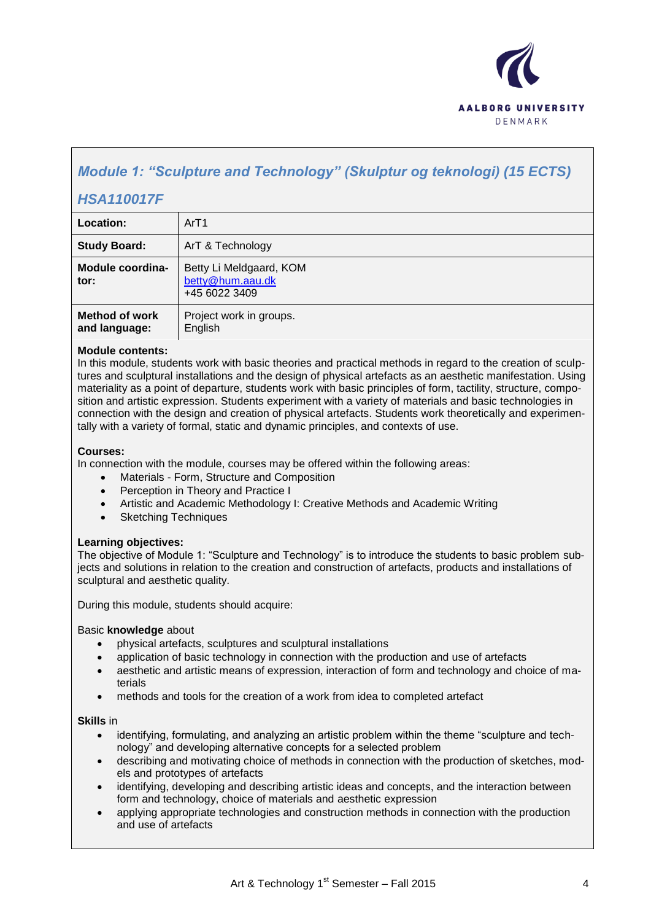

# *Module 1: "Sculpture and Technology" (Skulptur og teknologi) (15 ECTS)*

## *HSA110017F*

| Location:                              | ArT1                                                         |
|----------------------------------------|--------------------------------------------------------------|
| <b>Study Board:</b>                    | ArT & Technology                                             |
| Module coordina-<br>tor:               | Betty Li Meldgaard, KOM<br>betty@hum.aau.dk<br>+45 6022 3409 |
| <b>Method of work</b><br>and language: | Project work in groups.<br>English                           |

#### **Module contents:**

In this module, students work with basic theories and practical methods in regard to the creation of sculptures and sculptural installations and the design of physical artefacts as an aesthetic manifestation. Using materiality as a point of departure, students work with basic principles of form, tactility, structure, composition and artistic expression. Students experiment with a variety of materials and basic technologies in connection with the design and creation of physical artefacts. Students work theoretically and experimentally with a variety of formal, static and dynamic principles, and contexts of use.

#### **Courses:**

In connection with the module, courses may be offered within the following areas:

- Materials Form, Structure and Composition
- Perception in Theory and Practice I
- Artistic and Academic Methodology I: Creative Methods and Academic Writing
- Sketching Techniques

#### **Learning objectives:**

The objective of Module 1: "Sculpture and Technology" is to introduce the students to basic problem subjects and solutions in relation to the creation and construction of artefacts, products and installations of sculptural and aesthetic quality.

During this module, students should acquire:

Basic **knowledge** about

- physical artefacts, sculptures and sculptural installations
- application of basic technology in connection with the production and use of artefacts
- aesthetic and artistic means of expression, interaction of form and technology and choice of materials
- methods and tools for the creation of a work from idea to completed artefact

#### **Skills** in

- identifying, formulating, and analyzing an artistic problem within the theme "sculpture and technology" and developing alternative concepts for a selected problem
- describing and motivating choice of methods in connection with the production of sketches, models and prototypes of artefacts
- identifying, developing and describing artistic ideas and concepts, and the interaction between form and technology, choice of materials and aesthetic expression
- applying appropriate technologies and construction methods in connection with the production and use of artefacts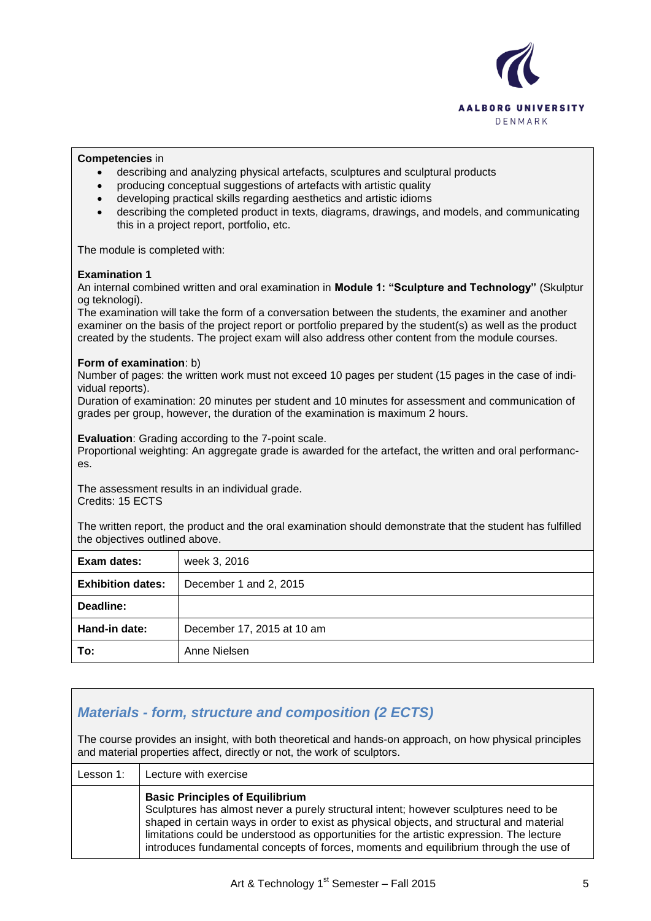

#### **Competencies** in

- describing and analyzing physical artefacts, sculptures and sculptural products
- producing conceptual suggestions of artefacts with artistic quality
- developing practical skills regarding aesthetics and artistic idioms
- describing the completed product in texts, diagrams, drawings, and models, and communicating this in a project report, portfolio, etc.

The module is completed with:

#### **Examination 1**

An internal combined written and oral examination in **Module 1: "Sculpture and Technology"** (Skulptur og teknologi).

The examination will take the form of a conversation between the students, the examiner and another examiner on the basis of the project report or portfolio prepared by the student(s) as well as the product created by the students. The project exam will also address other content from the module courses.

#### **Form of examination**: b)

Number of pages: the written work must not exceed 10 pages per student (15 pages in the case of individual reports).

Duration of examination: 20 minutes per student and 10 minutes for assessment and communication of grades per group, however, the duration of the examination is maximum 2 hours.

**Evaluation**: Grading according to the 7-point scale.

Proportional weighting: An aggregate grade is awarded for the artefact, the written and oral performances.

The assessment results in an individual grade. Credits: 15 ECTS

The written report, the product and the oral examination should demonstrate that the student has fulfilled the objectives outlined above.

| Exam dates:              | week 3, 2016               |
|--------------------------|----------------------------|
| <b>Exhibition dates:</b> | December 1 and 2, 2015     |
| Deadline:                |                            |
| Hand-in date:            | December 17, 2015 at 10 am |
| To:                      | Anne Nielsen               |

### *Materials - form, structure and composition (2 ECTS)*

The course provides an insight, with both theoretical and hands-on approach, on how physical principles and material properties affect, directly or not, the work of sculptors.

| Lesson 1: | Lecture with exercise                                                                                                                                                                                                                                                                                                                                                                                              |
|-----------|--------------------------------------------------------------------------------------------------------------------------------------------------------------------------------------------------------------------------------------------------------------------------------------------------------------------------------------------------------------------------------------------------------------------|
|           | <b>Basic Principles of Equilibrium</b><br>Sculptures has almost never a purely structural intent; however sculptures need to be<br>shaped in certain ways in order to exist as physical objects, and structural and material<br>limitations could be understood as opportunities for the artistic expression. The lecture<br>introduces fundamental concepts of forces, moments and equilibrium through the use of |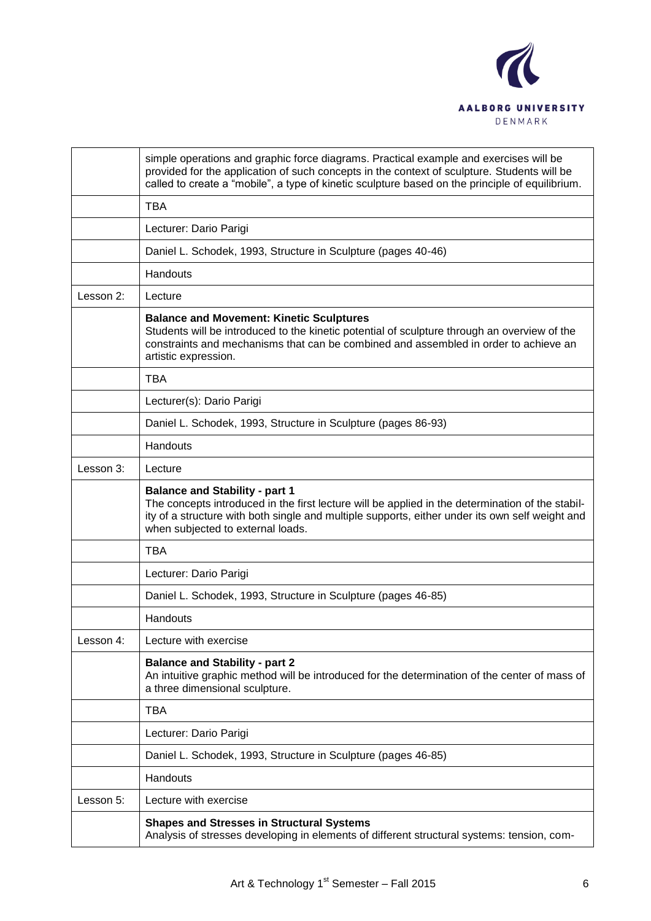

|           | simple operations and graphic force diagrams. Practical example and exercises will be<br>provided for the application of such concepts in the context of sculpture. Students will be<br>called to create a "mobile", a type of kinetic sculpture based on the principle of equilibrium. |
|-----------|-----------------------------------------------------------------------------------------------------------------------------------------------------------------------------------------------------------------------------------------------------------------------------------------|
|           | TBA                                                                                                                                                                                                                                                                                     |
|           | Lecturer: Dario Parigi                                                                                                                                                                                                                                                                  |
|           | Daniel L. Schodek, 1993, Structure in Sculpture (pages 40-46)                                                                                                                                                                                                                           |
|           | Handouts                                                                                                                                                                                                                                                                                |
| Lesson 2: | Lecture                                                                                                                                                                                                                                                                                 |
|           | <b>Balance and Movement: Kinetic Sculptures</b><br>Students will be introduced to the kinetic potential of sculpture through an overview of the<br>constraints and mechanisms that can be combined and assembled in order to achieve an<br>artistic expression.                         |
|           | <b>TBA</b>                                                                                                                                                                                                                                                                              |
|           | Lecturer(s): Dario Parigi                                                                                                                                                                                                                                                               |
|           | Daniel L. Schodek, 1993, Structure in Sculpture (pages 86-93)                                                                                                                                                                                                                           |
|           | Handouts                                                                                                                                                                                                                                                                                |
| Lesson 3: | Lecture                                                                                                                                                                                                                                                                                 |
|           | <b>Balance and Stability - part 1</b><br>The concepts introduced in the first lecture will be applied in the determination of the stabil-<br>ity of a structure with both single and multiple supports, either under its own self weight and<br>when subjected to external loads.       |
|           | <b>TBA</b>                                                                                                                                                                                                                                                                              |
|           | Lecturer: Dario Parigi                                                                                                                                                                                                                                                                  |
|           | Daniel L. Schodek, 1993, Structure in Sculpture (pages 46-85)                                                                                                                                                                                                                           |
|           | Handouts                                                                                                                                                                                                                                                                                |
| Lesson 4: | Lecture with exercise                                                                                                                                                                                                                                                                   |
|           | <b>Balance and Stability - part 2</b><br>An intuitive graphic method will be introduced for the determination of the center of mass of<br>a three dimensional sculpture.                                                                                                                |
|           | <b>TBA</b>                                                                                                                                                                                                                                                                              |
|           | Lecturer: Dario Parigi                                                                                                                                                                                                                                                                  |
|           | Daniel L. Schodek, 1993, Structure in Sculpture (pages 46-85)                                                                                                                                                                                                                           |
|           | <b>Handouts</b>                                                                                                                                                                                                                                                                         |
| Lesson 5: | Lecture with exercise                                                                                                                                                                                                                                                                   |
|           | <b>Shapes and Stresses in Structural Systems</b><br>Analysis of stresses developing in elements of different structural systems: tension, com-                                                                                                                                          |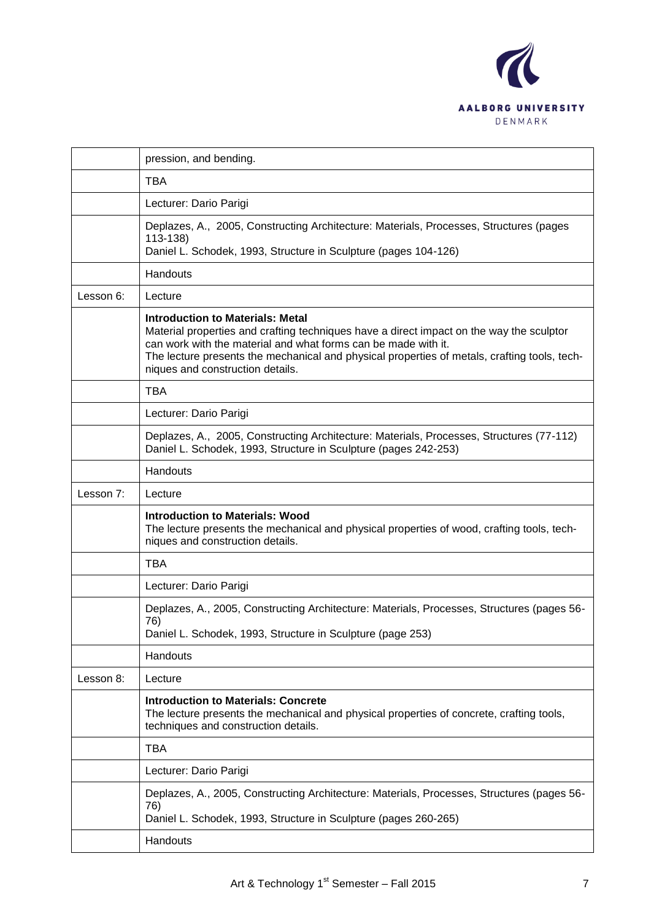

|           | pression, and bending.                                                                                                                                                                                                                                                                                                                    |
|-----------|-------------------------------------------------------------------------------------------------------------------------------------------------------------------------------------------------------------------------------------------------------------------------------------------------------------------------------------------|
|           | TBA                                                                                                                                                                                                                                                                                                                                       |
|           | Lecturer: Dario Parigi                                                                                                                                                                                                                                                                                                                    |
|           | Deplazes, A., 2005, Constructing Architecture: Materials, Processes, Structures (pages<br>113-138)<br>Daniel L. Schodek, 1993, Structure in Sculpture (pages 104-126)                                                                                                                                                                     |
|           | <b>Handouts</b>                                                                                                                                                                                                                                                                                                                           |
| Lesson 6: | Lecture                                                                                                                                                                                                                                                                                                                                   |
|           | <b>Introduction to Materials: Metal</b><br>Material properties and crafting techniques have a direct impact on the way the sculptor<br>can work with the material and what forms can be made with it.<br>The lecture presents the mechanical and physical properties of metals, crafting tools, tech-<br>niques and construction details. |
|           | TBA                                                                                                                                                                                                                                                                                                                                       |
|           | Lecturer: Dario Parigi                                                                                                                                                                                                                                                                                                                    |
|           | Deplazes, A., 2005, Constructing Architecture: Materials, Processes, Structures (77-112)<br>Daniel L. Schodek, 1993, Structure in Sculpture (pages 242-253)                                                                                                                                                                               |
|           | Handouts                                                                                                                                                                                                                                                                                                                                  |
| Lesson 7: | Lecture                                                                                                                                                                                                                                                                                                                                   |
|           | <b>Introduction to Materials: Wood</b><br>The lecture presents the mechanical and physical properties of wood, crafting tools, tech-<br>niques and construction details.                                                                                                                                                                  |
|           | TBA                                                                                                                                                                                                                                                                                                                                       |
|           | Lecturer: Dario Parigi                                                                                                                                                                                                                                                                                                                    |
|           | Deplazes, A., 2005, Constructing Architecture: Materials, Processes, Structures (pages 56-<br>76)<br>Daniel L. Schodek, 1993, Structure in Sculpture (page 253)                                                                                                                                                                           |
|           | Handouts                                                                                                                                                                                                                                                                                                                                  |
| Lesson 8: | Lecture                                                                                                                                                                                                                                                                                                                                   |
|           | <b>Introduction to Materials: Concrete</b><br>The lecture presents the mechanical and physical properties of concrete, crafting tools,<br>techniques and construction details.                                                                                                                                                            |
|           | <b>TBA</b>                                                                                                                                                                                                                                                                                                                                |
|           | Lecturer: Dario Parigi                                                                                                                                                                                                                                                                                                                    |
|           | Deplazes, A., 2005, Constructing Architecture: Materials, Processes, Structures (pages 56-<br>76)<br>Daniel L. Schodek, 1993, Structure in Sculpture (pages 260-265)                                                                                                                                                                      |
|           | Handouts                                                                                                                                                                                                                                                                                                                                  |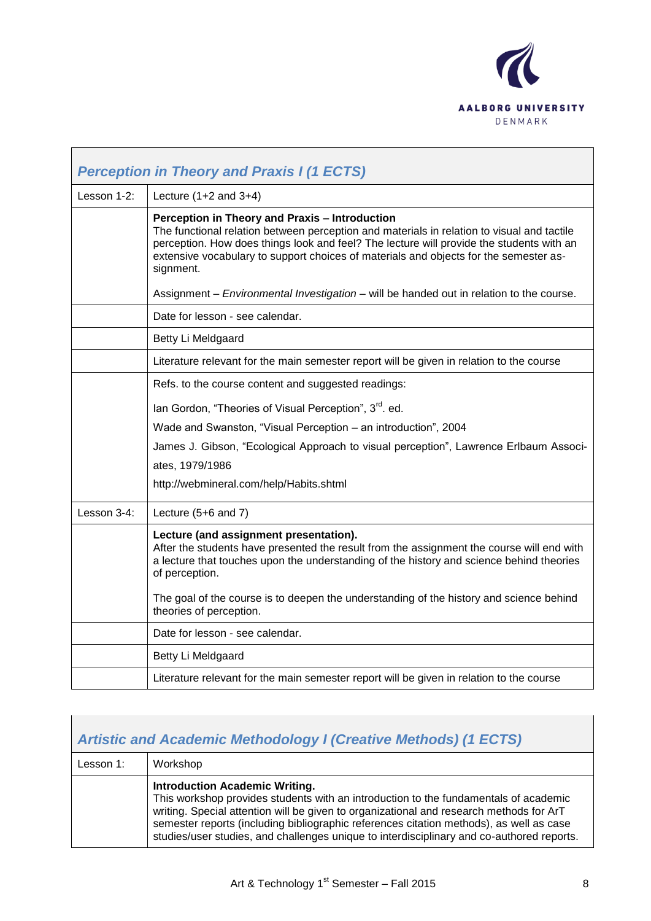

| <b>Perception in Theory and Praxis I (1 ECTS)</b> |                                                                                                                                                                                                                                                                                                                                                |  |
|---------------------------------------------------|------------------------------------------------------------------------------------------------------------------------------------------------------------------------------------------------------------------------------------------------------------------------------------------------------------------------------------------------|--|
| Lesson 1-2:                                       | Lecture $(1+2$ and $3+4)$                                                                                                                                                                                                                                                                                                                      |  |
|                                                   | Perception in Theory and Praxis - Introduction<br>The functional relation between perception and materials in relation to visual and tactile<br>perception. How does things look and feel? The lecture will provide the students with an<br>extensive vocabulary to support choices of materials and objects for the semester as-<br>signment. |  |
|                                                   | Assignment - Environmental Investigation - will be handed out in relation to the course.                                                                                                                                                                                                                                                       |  |
|                                                   | Date for lesson - see calendar.                                                                                                                                                                                                                                                                                                                |  |
|                                                   | Betty Li Meldgaard                                                                                                                                                                                                                                                                                                                             |  |
|                                                   | Literature relevant for the main semester report will be given in relation to the course                                                                                                                                                                                                                                                       |  |
|                                                   | Refs. to the course content and suggested readings:                                                                                                                                                                                                                                                                                            |  |
|                                                   | lan Gordon, "Theories of Visual Perception", 3 <sup>rd</sup> . ed.                                                                                                                                                                                                                                                                             |  |
|                                                   | Wade and Swanston, "Visual Perception - an introduction", 2004                                                                                                                                                                                                                                                                                 |  |
|                                                   | James J. Gibson, "Ecological Approach to visual perception", Lawrence Erlbaum Associ-                                                                                                                                                                                                                                                          |  |
|                                                   | ates, 1979/1986                                                                                                                                                                                                                                                                                                                                |  |
|                                                   | http://webmineral.com/help/Habits.shtml                                                                                                                                                                                                                                                                                                        |  |
| Lesson 3-4:                                       | Lecture $(5+6$ and 7)                                                                                                                                                                                                                                                                                                                          |  |
|                                                   | Lecture (and assignment presentation).<br>After the students have presented the result from the assignment the course will end with<br>a lecture that touches upon the understanding of the history and science behind theories<br>of perception.                                                                                              |  |
|                                                   | The goal of the course is to deepen the understanding of the history and science behind<br>theories of perception.                                                                                                                                                                                                                             |  |
|                                                   | Date for lesson - see calendar.                                                                                                                                                                                                                                                                                                                |  |
|                                                   | Betty Li Meldgaard                                                                                                                                                                                                                                                                                                                             |  |
|                                                   | Literature relevant for the main semester report will be given in relation to the course                                                                                                                                                                                                                                                       |  |

# *Artistic and Academic Methodology I (Creative Methods) (1 ECTS)*

| Lesson 1: | Workshop                                                                                                                                                                                                                                                                                                                                                                                                         |
|-----------|------------------------------------------------------------------------------------------------------------------------------------------------------------------------------------------------------------------------------------------------------------------------------------------------------------------------------------------------------------------------------------------------------------------|
|           | <b>Introduction Academic Writing.</b><br>This workshop provides students with an introduction to the fundamentals of academic<br>writing. Special attention will be given to organizational and research methods for ArT<br>semester reports (including bibliographic references citation methods), as well as case<br>studies/user studies, and challenges unique to interdisciplinary and co-authored reports. |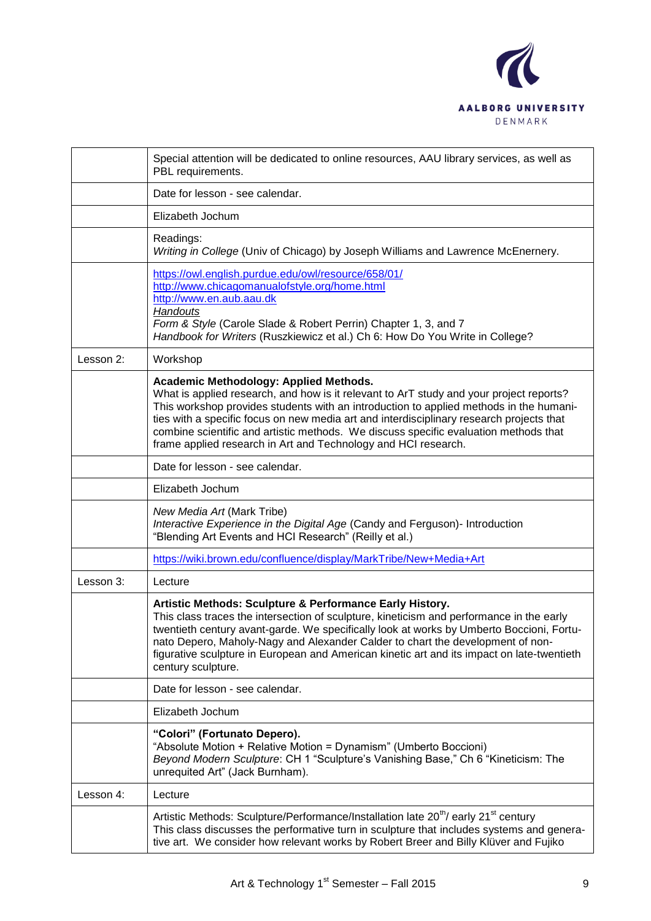

|           | Special attention will be dedicated to online resources, AAU library services, as well as<br>PBL requirements.                                                                                                                                                                                                                                                                                                                                                                    |
|-----------|-----------------------------------------------------------------------------------------------------------------------------------------------------------------------------------------------------------------------------------------------------------------------------------------------------------------------------------------------------------------------------------------------------------------------------------------------------------------------------------|
|           | Date for lesson - see calendar.                                                                                                                                                                                                                                                                                                                                                                                                                                                   |
|           | Elizabeth Jochum                                                                                                                                                                                                                                                                                                                                                                                                                                                                  |
|           | Readings:<br>Writing in College (Univ of Chicago) by Joseph Williams and Lawrence McEnernery.                                                                                                                                                                                                                                                                                                                                                                                     |
|           | https://owl.english.purdue.edu/owl/resource/658/01/<br>http://www.chicagomanualofstyle.org/home.html<br>http://www.en.aub.aau.dk<br>Handouts<br>Form & Style (Carole Slade & Robert Perrin) Chapter 1, 3, and 7<br>Handbook for Writers (Ruszkiewicz et al.) Ch 6: How Do You Write in College?                                                                                                                                                                                   |
| Lesson 2: | Workshop                                                                                                                                                                                                                                                                                                                                                                                                                                                                          |
|           | Academic Methodology: Applied Methods.<br>What is applied research, and how is it relevant to ArT study and your project reports?<br>This workshop provides students with an introduction to applied methods in the humani-<br>ties with a specific focus on new media art and interdisciplinary research projects that<br>combine scientific and artistic methods. We discuss specific evaluation methods that<br>frame applied research in Art and Technology and HCI research. |
|           | Date for lesson - see calendar.                                                                                                                                                                                                                                                                                                                                                                                                                                                   |
|           | Elizabeth Jochum                                                                                                                                                                                                                                                                                                                                                                                                                                                                  |
|           | New Media Art (Mark Tribe)<br>Interactive Experience in the Digital Age (Candy and Ferguson)- Introduction<br>"Blending Art Events and HCI Research" (Reilly et al.)                                                                                                                                                                                                                                                                                                              |
|           | https://wiki.brown.edu/confluence/display/MarkTribe/New+Media+Art                                                                                                                                                                                                                                                                                                                                                                                                                 |
| Lesson 3: | Lecture                                                                                                                                                                                                                                                                                                                                                                                                                                                                           |
|           | Artistic Methods: Sculpture & Performance Early History.<br>This class traces the intersection of sculpture, kineticism and performance in the early<br>twentieth century avant-garde. We specifically look at works by Umberto Boccioni, Fortu-<br>nato Depero, Maholy-Nagy and Alexander Calder to chart the development of non-<br>figurative sculpture in European and American kinetic art and its impact on late-twentieth<br>century sculpture.                            |
|           | Date for lesson - see calendar.                                                                                                                                                                                                                                                                                                                                                                                                                                                   |
|           | Elizabeth Jochum                                                                                                                                                                                                                                                                                                                                                                                                                                                                  |
|           | "Colori" (Fortunato Depero).<br>"Absolute Motion + Relative Motion = Dynamism" (Umberto Boccioni)<br>Beyond Modern Sculpture: CH 1 "Sculpture's Vanishing Base," Ch 6 "Kineticism: The<br>unrequited Art" (Jack Burnham).                                                                                                                                                                                                                                                         |
| Lesson 4: | Lecture                                                                                                                                                                                                                                                                                                                                                                                                                                                                           |
|           | Artistic Methods: Sculpture/Performance/Installation late 20 <sup>th</sup> / early 21 <sup>st</sup> century<br>This class discusses the performative turn in sculpture that includes systems and genera-<br>tive art. We consider how relevant works by Robert Breer and Billy Klüver and Fujiko                                                                                                                                                                                  |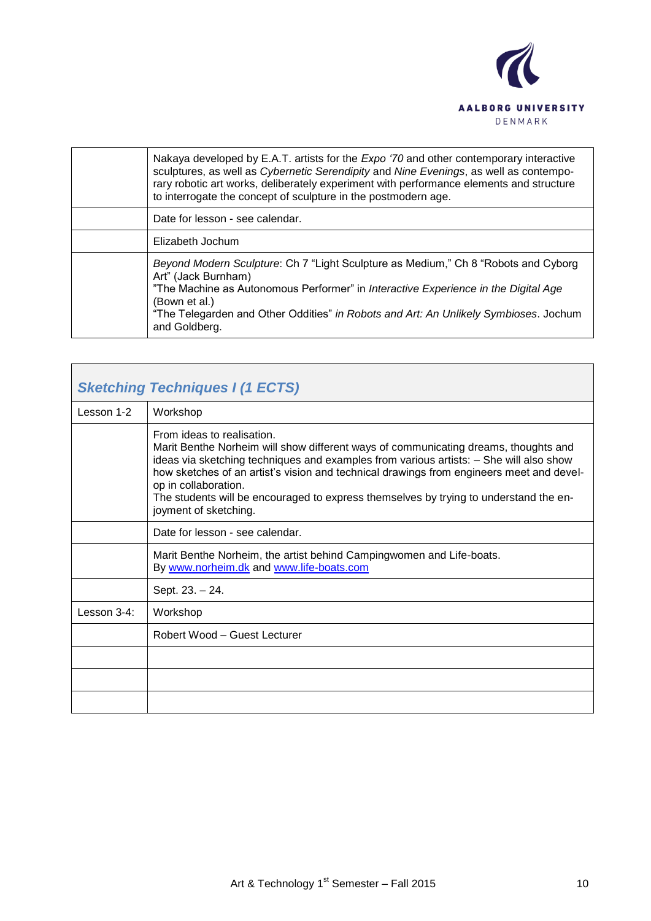

| Nakaya developed by E.A.T. artists for the <i>Expo '70</i> and other contemporary interactive<br>sculptures, as well as Cybernetic Serendipity and Nine Evenings, as well as contempo-<br>rary robotic art works, deliberately experiment with performance elements and structure<br>to interrogate the concept of sculpture in the postmodern age. |
|-----------------------------------------------------------------------------------------------------------------------------------------------------------------------------------------------------------------------------------------------------------------------------------------------------------------------------------------------------|
| Date for lesson - see calendar.                                                                                                                                                                                                                                                                                                                     |
| Elizabeth Jochum                                                                                                                                                                                                                                                                                                                                    |
| Beyond Modern Sculpture: Ch 7 "Light Sculpture as Medium," Ch 8 "Robots and Cyborg<br>Art" (Jack Burnham)<br>"The Machine as Autonomous Performer" in Interactive Experience in the Digital Age<br>(Bown et al.)<br>"The Telegarden and Other Oddities" in Robots and Art: An Unlikely Symbioses. Jochum<br>and Goldberg.                           |

| <b>Sketching Techniques I (1 ECTS)</b> |                                                                                                                                                                                                                                                                                                                                                                                                                                                   |  |
|----------------------------------------|---------------------------------------------------------------------------------------------------------------------------------------------------------------------------------------------------------------------------------------------------------------------------------------------------------------------------------------------------------------------------------------------------------------------------------------------------|--|
| Lesson 1-2                             | Workshop                                                                                                                                                                                                                                                                                                                                                                                                                                          |  |
|                                        | From ideas to realisation.<br>Marit Benthe Norheim will show different ways of communicating dreams, thoughts and<br>ideas via sketching techniques and examples from various artists: - She will also show<br>how sketches of an artist's vision and technical drawings from engineers meet and devel-<br>op in collaboration.<br>The students will be encouraged to express themselves by trying to understand the en-<br>joyment of sketching. |  |
|                                        | Date for lesson - see calendar.                                                                                                                                                                                                                                                                                                                                                                                                                   |  |
|                                        | Marit Benthe Norheim, the artist behind Campingwomen and Life-boats.<br>By www.norheim.dk and www.life-boats.com                                                                                                                                                                                                                                                                                                                                  |  |
|                                        | Sept. 23. - 24.                                                                                                                                                                                                                                                                                                                                                                                                                                   |  |
| Lesson $3-4$ :                         | Workshop                                                                                                                                                                                                                                                                                                                                                                                                                                          |  |
|                                        | Robert Wood - Guest Lecturer                                                                                                                                                                                                                                                                                                                                                                                                                      |  |
|                                        |                                                                                                                                                                                                                                                                                                                                                                                                                                                   |  |
|                                        |                                                                                                                                                                                                                                                                                                                                                                                                                                                   |  |
|                                        |                                                                                                                                                                                                                                                                                                                                                                                                                                                   |  |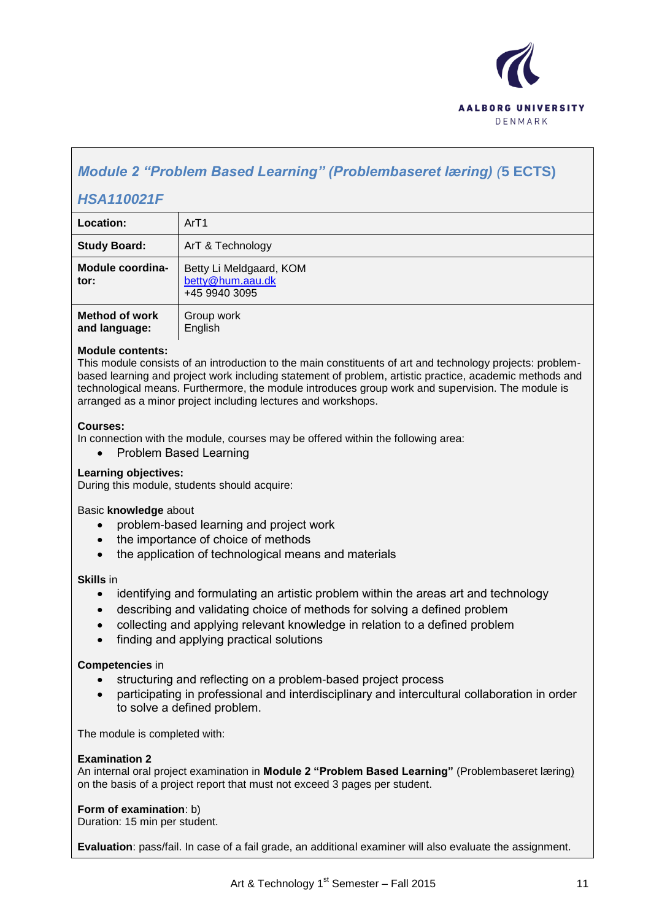

# *Module 2 "Problem Based Learning" (Problembaseret læring) (***5 ECTS)**

## *HSA110021F*

| Location:                              | ArT1                                                         |
|----------------------------------------|--------------------------------------------------------------|
| <b>Study Board:</b>                    | ArT & Technology                                             |
| Module coordina-<br>tor:               | Betty Li Meldgaard, KOM<br>betty@hum.aau.dk<br>+45 9940 3095 |
| <b>Method of work</b><br>and language: | Group work<br>English                                        |

#### **Module contents:**

This module consists of an introduction to the main constituents of art and technology projects: problembased learning and project work including statement of problem, artistic practice, academic methods and technological means. Furthermore, the module introduces group work and supervision. The module is arranged as a minor project including lectures and workshops.

#### **Courses:**

In connection with the module, courses may be offered within the following area:

Problem Based Learning

#### **Learning objectives:**

During this module, students should acquire:

#### Basic **knowledge** about

- problem-based learning and project work
- the importance of choice of methods
- the application of technological means and materials

#### **Skills** in

- identifying and formulating an artistic problem within the areas art and technology
- describing and validating choice of methods for solving a defined problem
- collecting and applying relevant knowledge in relation to a defined problem
- finding and applying practical solutions

#### **Competencies** in

- structuring and reflecting on a problem-based project process
- participating in professional and interdisciplinary and intercultural collaboration in order to solve a defined problem.

The module is completed with:

#### **Examination 2**

An internal oral project examination in **Module 2 "Problem Based Learning"** (Problembaseret læring) on the basis of a project report that must not exceed 3 pages per student.

#### **Form of examination**: b) Duration: 15 min per student.

**Evaluation**: pass/fail. In case of a fail grade, an additional examiner will also evaluate the assignment.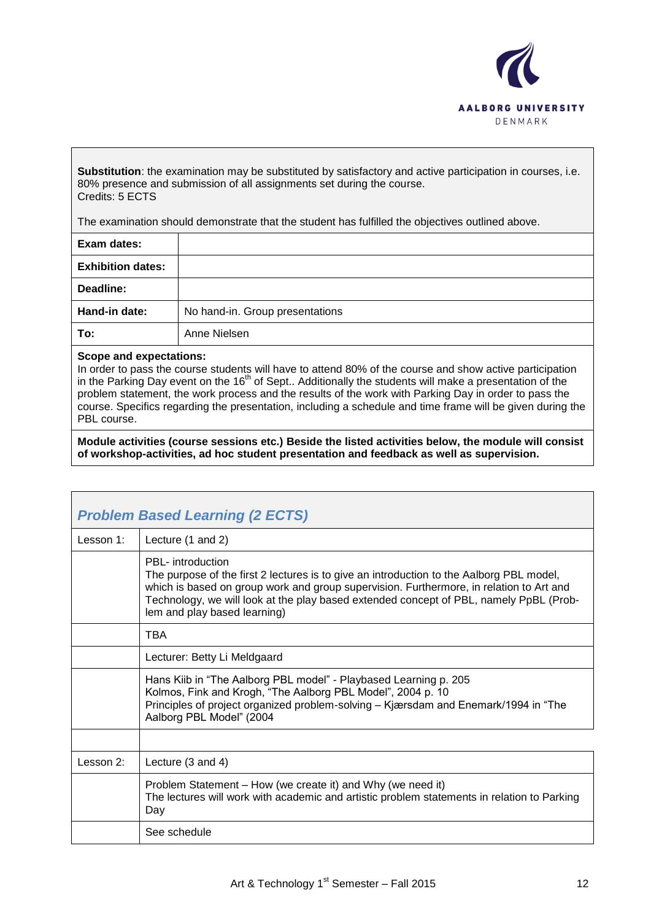

**Substitution**: the examination may be substituted by satisfactory and active participation in courses, i.e. 80% presence and submission of all assignments set during the course. Credits: 5 ECTS

The examination should demonstrate that the student has fulfilled the objectives outlined above.

| Exam dates:              |                                 |
|--------------------------|---------------------------------|
| <b>Exhibition dates:</b> |                                 |
| Deadline:                |                                 |
| Hand-in date:            | No hand-in. Group presentations |
| To:                      | Anne Nielsen                    |

#### **Scope and expectations:**

In order to pass the course students will have to attend 80% of the course and show active participation in the Parking Day event on the 16<sup>th</sup> of Sept.. Additionally the students will make a presentation of the problem statement, the work process and the results of the work with Parking Day in order to pass the course. Specifics regarding the presentation, including a schedule and time frame will be given during the PBL course.

**Module activities (course sessions etc.) Beside the listed activities below, the module will consist of workshop-activities, ad hoc student presentation and feedback as well as supervision.**

| <b>Problem Based Learning (2 ECTS)</b> |                                                                                                                                                                                                                                                                                                                                           |  |
|----------------------------------------|-------------------------------------------------------------------------------------------------------------------------------------------------------------------------------------------------------------------------------------------------------------------------------------------------------------------------------------------|--|
| Lesson 1:                              | Lecture (1 and 2)                                                                                                                                                                                                                                                                                                                         |  |
|                                        | <b>PBL-</b> introduction<br>The purpose of the first 2 lectures is to give an introduction to the Aalborg PBL model,<br>which is based on group work and group supervision. Furthermore, in relation to Art and<br>Technology, we will look at the play based extended concept of PBL, namely PpBL (Prob-<br>lem and play based learning) |  |
|                                        | <b>TBA</b>                                                                                                                                                                                                                                                                                                                                |  |
|                                        | Lecturer: Betty Li Meldgaard                                                                                                                                                                                                                                                                                                              |  |
|                                        | Hans Kiib in "The Aalborg PBL model" - Playbased Learning p. 205<br>Kolmos, Fink and Krogh, "The Aalborg PBL Model", 2004 p. 10<br>Principles of project organized problem-solving - Kjærsdam and Enemark/1994 in "The<br>Aalborg PBL Model" (2004                                                                                        |  |
|                                        |                                                                                                                                                                                                                                                                                                                                           |  |
| Lesson 2:                              | Lecture (3 and 4)                                                                                                                                                                                                                                                                                                                         |  |
|                                        | Problem Statement – How (we create it) and Why (we need it)<br>The lectures will work with academic and artistic problem statements in relation to Parking<br>Day                                                                                                                                                                         |  |
|                                        | See schedule                                                                                                                                                                                                                                                                                                                              |  |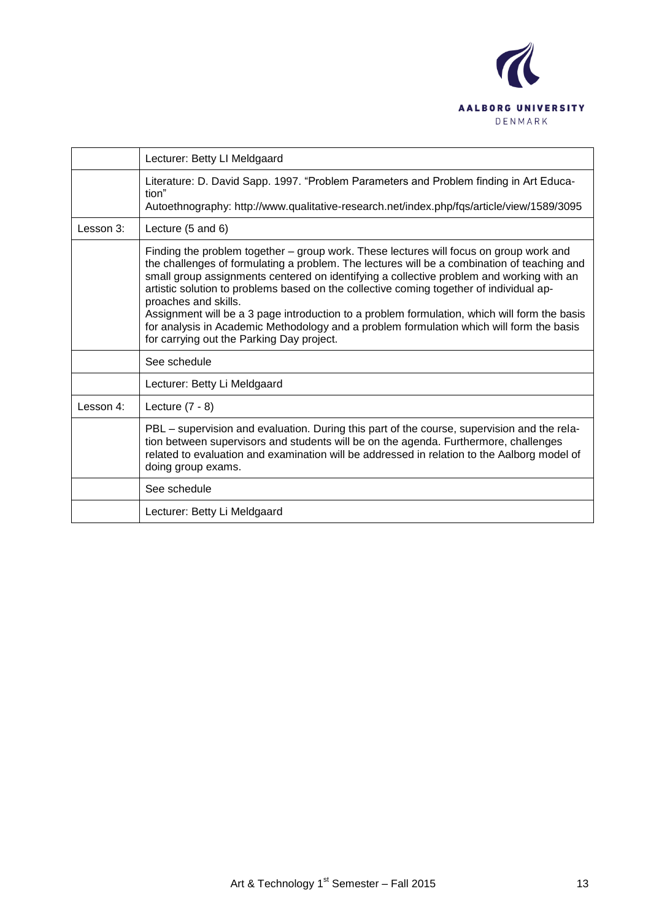

|           | Lecturer: Betty LI Meldgaard                                                                                                                                                                                                                                                                                                                                                                                                                                                                                                                                                                                                                  |
|-----------|-----------------------------------------------------------------------------------------------------------------------------------------------------------------------------------------------------------------------------------------------------------------------------------------------------------------------------------------------------------------------------------------------------------------------------------------------------------------------------------------------------------------------------------------------------------------------------------------------------------------------------------------------|
|           | Literature: D. David Sapp. 1997. "Problem Parameters and Problem finding in Art Educa-<br>tion"<br>Autoethnography: http://www.qualitative-research.net/index.php/fqs/article/view/1589/3095                                                                                                                                                                                                                                                                                                                                                                                                                                                  |
| Lesson 3: | Lecture (5 and 6)                                                                                                                                                                                                                                                                                                                                                                                                                                                                                                                                                                                                                             |
|           | Finding the problem together - group work. These lectures will focus on group work and<br>the challenges of formulating a problem. The lectures will be a combination of teaching and<br>small group assignments centered on identifying a collective problem and working with an<br>artistic solution to problems based on the collective coming together of individual ap-<br>proaches and skills.<br>Assignment will be a 3 page introduction to a problem formulation, which will form the basis<br>for analysis in Academic Methodology and a problem formulation which will form the basis<br>for carrying out the Parking Day project. |
|           | See schedule                                                                                                                                                                                                                                                                                                                                                                                                                                                                                                                                                                                                                                  |
|           | Lecturer: Betty Li Meldgaard                                                                                                                                                                                                                                                                                                                                                                                                                                                                                                                                                                                                                  |
| Lesson 4: | Lecture $(7 - 8)$                                                                                                                                                                                                                                                                                                                                                                                                                                                                                                                                                                                                                             |
|           | PBL - supervision and evaluation. During this part of the course, supervision and the rela-<br>tion between supervisors and students will be on the agenda. Furthermore, challenges<br>related to evaluation and examination will be addressed in relation to the Aalborg model of<br>doing group exams.                                                                                                                                                                                                                                                                                                                                      |
|           | See schedule                                                                                                                                                                                                                                                                                                                                                                                                                                                                                                                                                                                                                                  |
|           | Lecturer: Betty Li Meldgaard                                                                                                                                                                                                                                                                                                                                                                                                                                                                                                                                                                                                                  |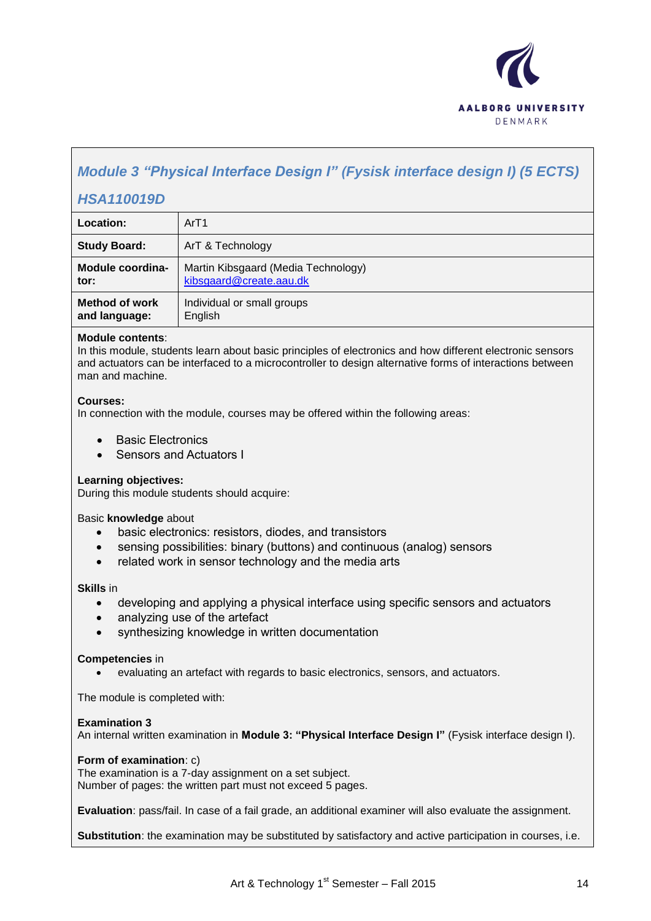

# *Module 3 "Physical Interface Design I" (Fysisk interface design I) (5 ECTS)*

## *HSA110019D*

| Location:             | ArT1                                |
|-----------------------|-------------------------------------|
| <b>Study Board:</b>   | ArT & Technology                    |
| Module coordina-      | Martin Kibsgaard (Media Technology) |
| tor:                  | kibsgaard@create.aau.dk             |
| <b>Method of work</b> | Individual or small groups          |
| and language:         | English                             |

#### **Module contents**:

In this module, students learn about basic principles of electronics and how different electronic sensors and actuators can be interfaced to a microcontroller to design alternative forms of interactions between man and machine.

#### **Courses:**

In connection with the module, courses may be offered within the following areas:

- Basic Electronics
- Sensors and Actuators I

#### **Learning objectives:**

During this module students should acquire:

#### Basic **knowledge** about

- basic electronics: resistors, diodes, and transistors
- sensing possibilities: binary (buttons) and continuous (analog) sensors
- related work in sensor technology and the media arts

#### **Skills** in

- developing and applying a physical interface using specific sensors and actuators
- analyzing use of the artefact
- synthesizing knowledge in written documentation

#### **Competencies** in

evaluating an artefact with regards to basic electronics, sensors, and actuators.

The module is completed with:

#### **Examination 3**

An internal written examination in **Module 3: "Physical Interface Design I"** (Fysisk interface design I).

#### **Form of examination**: c)

The examination is a 7-day assignment on a set subject. Number of pages: the written part must not exceed 5 pages.

**Evaluation**: pass/fail. In case of a fail grade, an additional examiner will also evaluate the assignment.

**Substitution**: the examination may be substituted by satisfactory and active participation in courses, i.e.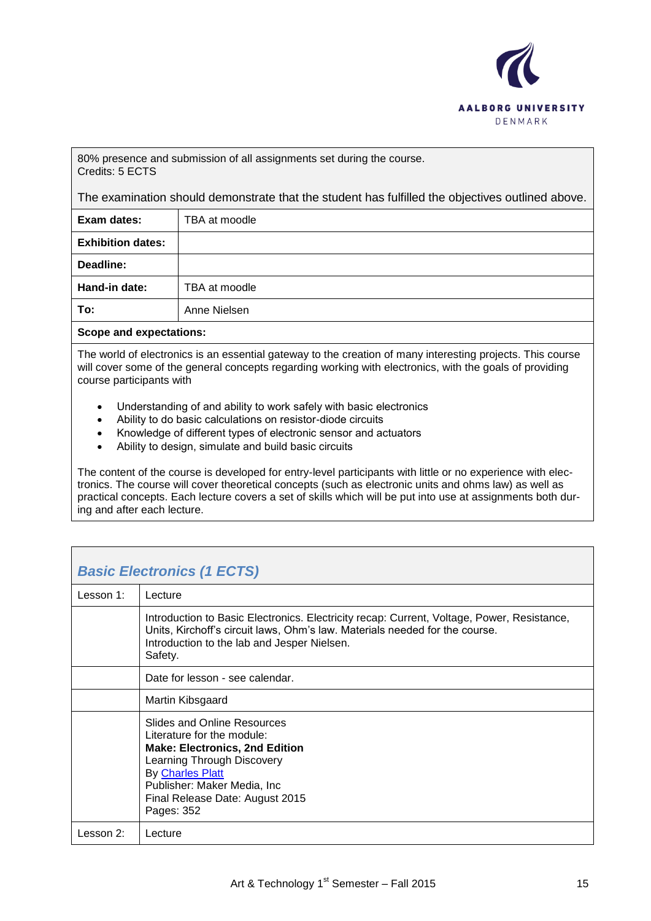

80% presence and submission of all assignments set during the course. Credits: 5 ECTS

The examination should demonstrate that the student has fulfilled the objectives outlined above.

| Exam dates:              | TBA at moodle |
|--------------------------|---------------|
| <b>Exhibition dates:</b> |               |
| Deadline:                |               |
| Hand-in date:            | TBA at moodle |
| To:                      | Anne Nielsen  |

#### **Scope and expectations:**

The world of electronics is an essential gateway to the creation of many interesting projects. This course will cover some of the general concepts regarding working with electronics, with the goals of providing course participants with

- Understanding of and ability to work safely with basic electronics
- Ability to do basic calculations on resistor-diode circuits
- Knowledge of different types of electronic sensor and actuators
- Ability to design, simulate and build basic circuits

The content of the course is developed for entry-level participants with little or no experience with electronics. The course will cover theoretical concepts (such as electronic units and ohms law) as well as practical concepts. Each lecture covers a set of skills which will be put into use at assignments both during and after each lecture.

| <b>Basic Electronics (1 ECTS)</b> |                                                                                                                                                                                                                                              |  |
|-----------------------------------|----------------------------------------------------------------------------------------------------------------------------------------------------------------------------------------------------------------------------------------------|--|
| Lesson 1:                         | Lecture                                                                                                                                                                                                                                      |  |
|                                   | Introduction to Basic Electronics. Electricity recap: Current, Voltage, Power, Resistance,<br>Units, Kirchoff's circuit laws, Ohm's law. Materials needed for the course.<br>Introduction to the lab and Jesper Nielsen.<br>Safety.          |  |
|                                   | Date for lesson - see calendar.                                                                                                                                                                                                              |  |
|                                   | Martin Kibsgaard                                                                                                                                                                                                                             |  |
|                                   | Slides and Online Resources<br>Literature for the module:<br><b>Make: Electronics, 2nd Edition</b><br>Learning Through Discovery<br><b>By Charles Platt</b><br>Publisher: Maker Media, Inc.<br>Final Release Date: August 2015<br>Pages: 352 |  |
| Lesson 2:                         | Lecture                                                                                                                                                                                                                                      |  |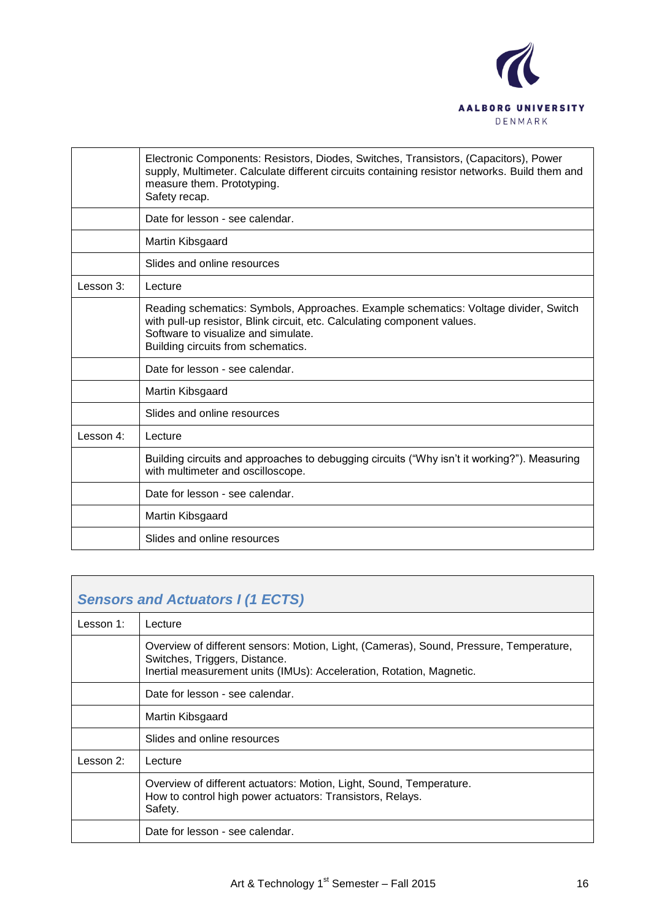

|           | Electronic Components: Resistors, Diodes, Switches, Transistors, (Capacitors), Power<br>supply, Multimeter. Calculate different circuits containing resistor networks. Build them and<br>measure them. Prototyping.<br>Safety recap.          |
|-----------|-----------------------------------------------------------------------------------------------------------------------------------------------------------------------------------------------------------------------------------------------|
|           | Date for lesson - see calendar.                                                                                                                                                                                                               |
|           | Martin Kibsgaard                                                                                                                                                                                                                              |
|           | Slides and online resources                                                                                                                                                                                                                   |
| Lesson 3: | Lecture                                                                                                                                                                                                                                       |
|           | Reading schematics: Symbols, Approaches. Example schematics: Voltage divider, Switch<br>with pull-up resistor, Blink circuit, etc. Calculating component values.<br>Software to visualize and simulate.<br>Building circuits from schematics. |
|           | Date for lesson - see calendar.                                                                                                                                                                                                               |
|           | Martin Kibsgaard                                                                                                                                                                                                                              |
|           | Slides and online resources                                                                                                                                                                                                                   |
| Lesson 4: | Lecture                                                                                                                                                                                                                                       |
|           | Building circuits and approaches to debugging circuits ("Why isn't it working?"). Measuring<br>with multimeter and oscilloscope.                                                                                                              |
|           | Date for lesson - see calendar.                                                                                                                                                                                                               |
|           | Martin Kibsgaard                                                                                                                                                                                                                              |
|           | Slides and online resources                                                                                                                                                                                                                   |

| <b>Sensors and Actuators I (1 ECTS)</b> |                                                                                                                                                                                                 |  |
|-----------------------------------------|-------------------------------------------------------------------------------------------------------------------------------------------------------------------------------------------------|--|
| Lesson 1:                               | Lecture                                                                                                                                                                                         |  |
|                                         | Overview of different sensors: Motion, Light, (Cameras), Sound, Pressure, Temperature,<br>Switches, Triggers, Distance.<br>Inertial measurement units (IMUs): Acceleration, Rotation, Magnetic. |  |
|                                         | Date for lesson - see calendar.                                                                                                                                                                 |  |
|                                         | Martin Kibsgaard                                                                                                                                                                                |  |
|                                         | Slides and online resources                                                                                                                                                                     |  |
| Lesson 2:                               | Lecture                                                                                                                                                                                         |  |
|                                         | Overview of different actuators: Motion, Light, Sound, Temperature.<br>How to control high power actuators: Transistors, Relays.<br>Safety.                                                     |  |
|                                         | Date for lesson - see calendar.                                                                                                                                                                 |  |

 $\Gamma$ 

 $\overline{\phantom{a}}$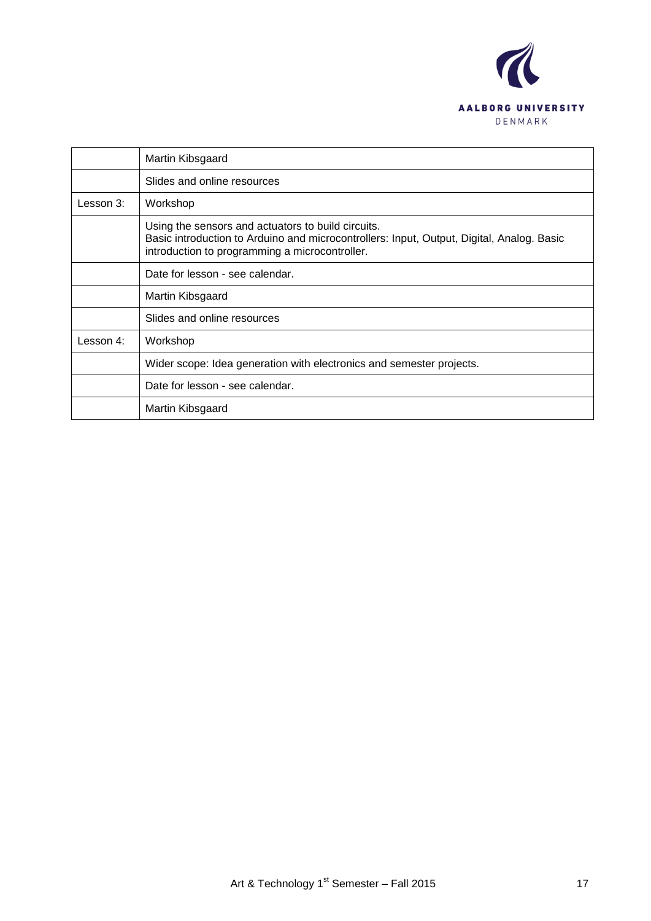

|           | Martin Kibsgaard                                                                                                                                                                                  |
|-----------|---------------------------------------------------------------------------------------------------------------------------------------------------------------------------------------------------|
|           | Slides and online resources                                                                                                                                                                       |
| Lesson 3: | Workshop                                                                                                                                                                                          |
|           | Using the sensors and actuators to build circuits.<br>Basic introduction to Arduino and microcontrollers: Input, Output, Digital, Analog. Basic<br>introduction to programming a microcontroller. |
|           | Date for lesson - see calendar.                                                                                                                                                                   |
|           | Martin Kibsgaard                                                                                                                                                                                  |
|           | Slides and online resources                                                                                                                                                                       |
| Lesson 4: | Workshop                                                                                                                                                                                          |
|           | Wider scope: Idea generation with electronics and semester projects.                                                                                                                              |
|           | Date for lesson - see calendar.                                                                                                                                                                   |
|           | Martin Kibsgaard                                                                                                                                                                                  |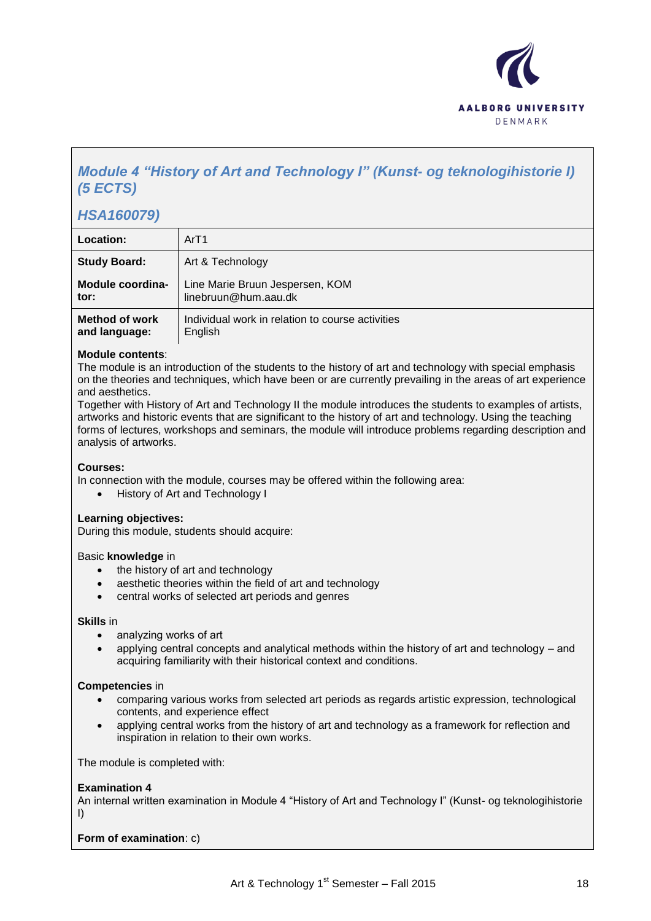

## *Module 4 "History of Art and Technology I" (Kunst- og teknologihistorie I) (5 ECTS)*

### *HSA160079)*

| Location:                              | ArT <sub>1</sub>                                            |
|----------------------------------------|-------------------------------------------------------------|
| <b>Study Board:</b>                    | Art & Technology                                            |
| Module coordina-<br>tor:               | Line Marie Bruun Jespersen, KOM<br>linebruun@hum.aau.dk     |
| <b>Method of work</b><br>and language: | Individual work in relation to course activities<br>English |

#### **Module contents**:

The module is an introduction of the students to the history of art and technology with special emphasis on the theories and techniques, which have been or are currently prevailing in the areas of art experience and aesthetics.

Together with History of Art and Technology II the module introduces the students to examples of artists, artworks and historic events that are significant to the history of art and technology. Using the teaching forms of lectures, workshops and seminars, the module will introduce problems regarding description and analysis of artworks.

#### **Courses:**

In connection with the module, courses may be offered within the following area:

• History of Art and Technology I

#### **Learning objectives:**

During this module, students should acquire:

#### Basic **knowledge** in

- the history of art and technology
- aesthetic theories within the field of art and technology
- central works of selected art periods and genres

#### **Skills** in

- analyzing works of art
- applying central concepts and analytical methods within the history of art and technology and acquiring familiarity with their historical context and conditions.

#### **Competencies** in

- comparing various works from selected art periods as regards artistic expression, technological contents, and experience effect
- applying central works from the history of art and technology as a framework for reflection and inspiration in relation to their own works.

The module is completed with:

#### **Examination 4**

An internal written examination in Module 4 "History of Art and Technology I" (Kunst- og teknologihistorie I)

**Form of examination**: c)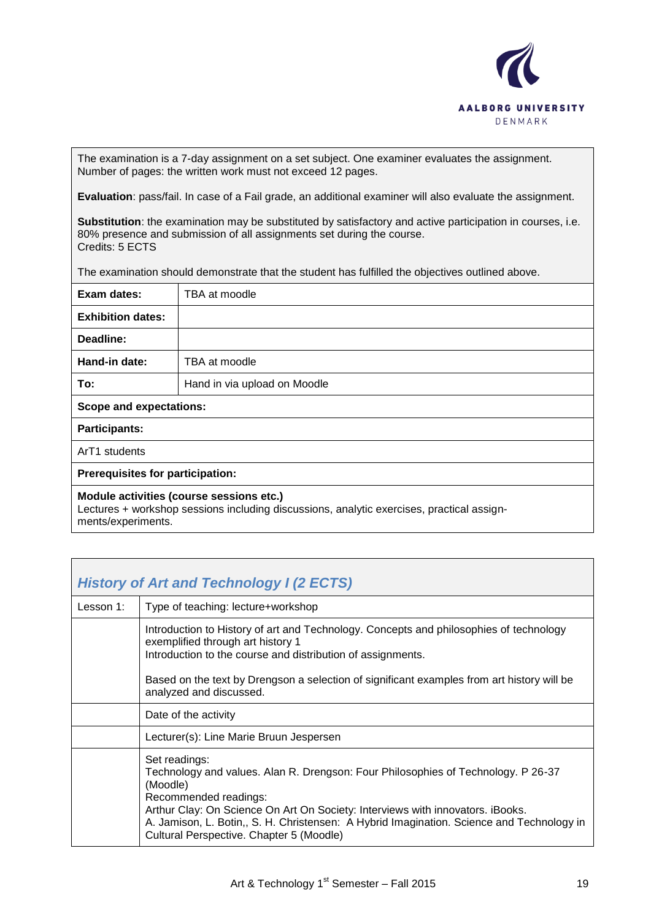

The examination is a 7-day assignment on a set subject. One examiner evaluates the assignment. Number of pages: the written work must not exceed 12 pages.

**Evaluation**: pass/fail. In case of a Fail grade, an additional examiner will also evaluate the assignment.

**Substitution**: the examination may be substituted by satisfactory and active participation in courses, i.e. 80% presence and submission of all assignments set during the course. Credits: 5 ECTS

The examination should demonstrate that the student has fulfilled the objectives outlined above.

| Exam dates:                                                                                                                                                 | TBA at moodle                |  |
|-------------------------------------------------------------------------------------------------------------------------------------------------------------|------------------------------|--|
| <b>Exhibition dates:</b>                                                                                                                                    |                              |  |
| Deadline:                                                                                                                                                   |                              |  |
| Hand-in date:                                                                                                                                               | TBA at moodle                |  |
| To:                                                                                                                                                         | Hand in via upload on Moodle |  |
| Scope and expectations:                                                                                                                                     |                              |  |
| <b>Participants:</b>                                                                                                                                        |                              |  |
| ArT1 students                                                                                                                                               |                              |  |
| <b>Prerequisites for participation:</b>                                                                                                                     |                              |  |
| Module activities (course sessions etc.)<br>Lectures + workshop sessions including discussions, analytic exercises, practical assign-<br>ments/experiments. |                              |  |

| <b>History of Art and Technology I (2 ECTS)</b> |                                                                                                                                                                                                                                                                                                                                                                    |  |
|-------------------------------------------------|--------------------------------------------------------------------------------------------------------------------------------------------------------------------------------------------------------------------------------------------------------------------------------------------------------------------------------------------------------------------|--|
| Lesson 1:                                       | Type of teaching: lecture+workshop                                                                                                                                                                                                                                                                                                                                 |  |
|                                                 | Introduction to History of art and Technology. Concepts and philosophies of technology<br>exemplified through art history 1<br>Introduction to the course and distribution of assignments.                                                                                                                                                                         |  |
|                                                 | Based on the text by Drengson a selection of significant examples from art history will be<br>analyzed and discussed.                                                                                                                                                                                                                                              |  |
|                                                 | Date of the activity                                                                                                                                                                                                                                                                                                                                               |  |
|                                                 | Lecturer(s): Line Marie Bruun Jespersen                                                                                                                                                                                                                                                                                                                            |  |
|                                                 | Set readings:<br>Technology and values. Alan R. Drengson: Four Philosophies of Technology. P 26-37<br>(Moodle)<br>Recommended readings:<br>Arthur Clay: On Science On Art On Society: Interviews with innovators. iBooks.<br>A. Jamison, L. Botin,, S. H. Christensen: A Hybrid Imagination. Science and Technology in<br>Cultural Perspective. Chapter 5 (Moodle) |  |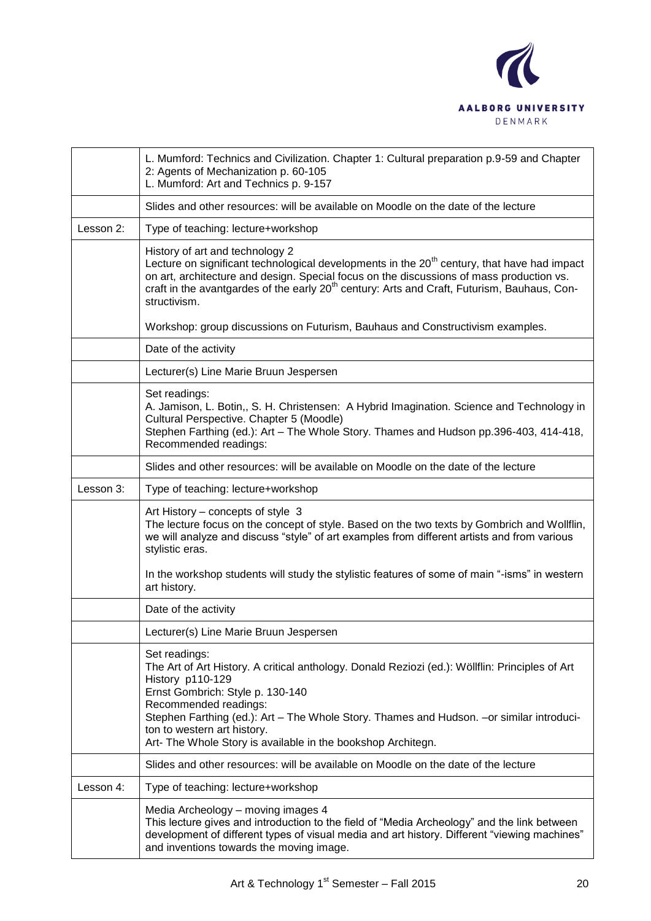

|           | L. Mumford: Technics and Civilization. Chapter 1: Cultural preparation p.9-59 and Chapter<br>2: Agents of Mechanization p. 60-105<br>L. Mumford: Art and Technics p. 9-157                                                                                                                                                                                                                    |
|-----------|-----------------------------------------------------------------------------------------------------------------------------------------------------------------------------------------------------------------------------------------------------------------------------------------------------------------------------------------------------------------------------------------------|
|           | Slides and other resources: will be available on Moodle on the date of the lecture                                                                                                                                                                                                                                                                                                            |
| Lesson 2: | Type of teaching: lecture+workshop                                                                                                                                                                                                                                                                                                                                                            |
|           | History of art and technology 2<br>Lecture on significant technological developments in the 20 <sup>th</sup> century, that have had impact<br>on art, architecture and design. Special focus on the discussions of mass production vs.<br>craft in the avantgardes of the early 20 <sup>th</sup> century: Arts and Craft, Futurism, Bauhaus, Con-<br>structivism.                             |
|           | Workshop: group discussions on Futurism, Bauhaus and Constructivism examples.                                                                                                                                                                                                                                                                                                                 |
|           | Date of the activity                                                                                                                                                                                                                                                                                                                                                                          |
|           | Lecturer(s) Line Marie Bruun Jespersen                                                                                                                                                                                                                                                                                                                                                        |
|           | Set readings:<br>A. Jamison, L. Botin,, S. H. Christensen: A Hybrid Imagination. Science and Technology in<br>Cultural Perspective. Chapter 5 (Moodle)<br>Stephen Farthing (ed.): Art - The Whole Story. Thames and Hudson pp.396-403, 414-418,<br>Recommended readings:                                                                                                                      |
|           | Slides and other resources: will be available on Moodle on the date of the lecture                                                                                                                                                                                                                                                                                                            |
| Lesson 3: | Type of teaching: lecture+workshop                                                                                                                                                                                                                                                                                                                                                            |
|           | Art History – concepts of style 3<br>The lecture focus on the concept of style. Based on the two texts by Gombrich and Wollflin,<br>we will analyze and discuss "style" of art examples from different artists and from various<br>stylistic eras.                                                                                                                                            |
|           | In the workshop students will study the stylistic features of some of main "-isms" in western<br>art history.                                                                                                                                                                                                                                                                                 |
|           | Date of the activity                                                                                                                                                                                                                                                                                                                                                                          |
|           | Lecturer(s) Line Marie Bruun Jespersen                                                                                                                                                                                                                                                                                                                                                        |
|           | Set readings:<br>The Art of Art History. A critical anthology. Donald Reziozi (ed.): Wöllflin: Principles of Art<br>History p110-129<br>Ernst Gombrich: Style p. 130-140<br>Recommended readings:<br>Stephen Farthing (ed.): Art - The Whole Story. Thames and Hudson. - or similar introduci-<br>ton to western art history.<br>Art- The Whole Story is available in the bookshop Architegn. |
|           | Slides and other resources: will be available on Moodle on the date of the lecture                                                                                                                                                                                                                                                                                                            |
| Lesson 4: | Type of teaching: lecture+workshop                                                                                                                                                                                                                                                                                                                                                            |
|           | Media Archeology - moving images 4<br>This lecture gives and introduction to the field of "Media Archeology" and the link between<br>development of different types of visual media and art history. Different "viewing machines"<br>and inventions towards the moving image.                                                                                                                 |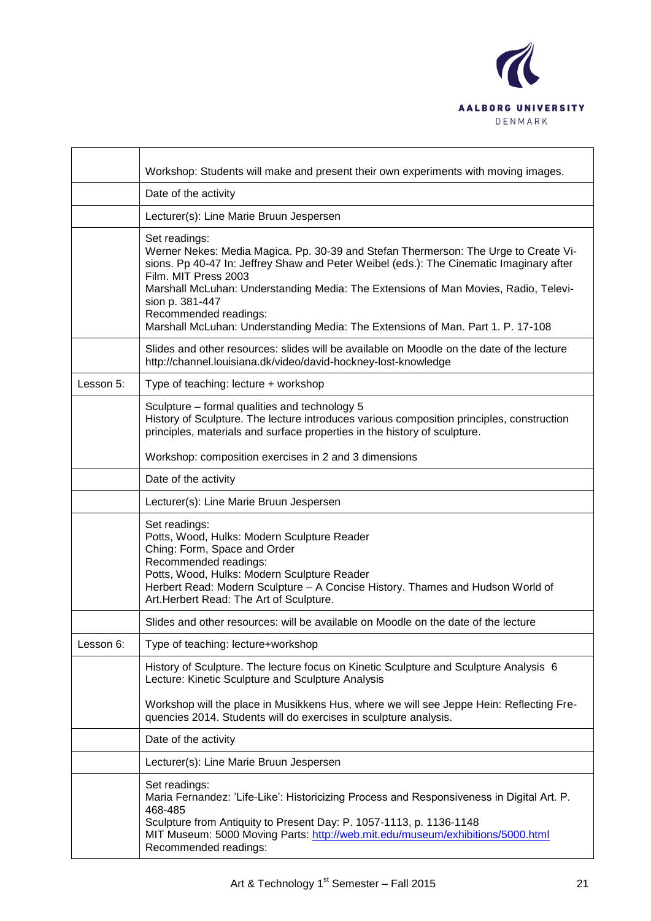

|           | Workshop: Students will make and present their own experiments with moving images.                                                                                                                                                                                                                                                                                                                                                            |
|-----------|-----------------------------------------------------------------------------------------------------------------------------------------------------------------------------------------------------------------------------------------------------------------------------------------------------------------------------------------------------------------------------------------------------------------------------------------------|
|           | Date of the activity                                                                                                                                                                                                                                                                                                                                                                                                                          |
|           |                                                                                                                                                                                                                                                                                                                                                                                                                                               |
|           | Lecturer(s): Line Marie Bruun Jespersen                                                                                                                                                                                                                                                                                                                                                                                                       |
|           | Set readings:<br>Werner Nekes: Media Magica. Pp. 30-39 and Stefan Thermerson: The Urge to Create Vi-<br>sions. Pp 40-47 In: Jeffrey Shaw and Peter Weibel (eds.): The Cinematic Imaginary after<br>Film, MIT Press 2003<br>Marshall McLuhan: Understanding Media: The Extensions of Man Movies, Radio, Televi-<br>sion p. 381-447<br>Recommended readings:<br>Marshall McLuhan: Understanding Media: The Extensions of Man. Part 1. P. 17-108 |
|           | Slides and other resources: slides will be available on Moodle on the date of the lecture<br>http://channel.louisiana.dk/video/david-hockney-lost-knowledge                                                                                                                                                                                                                                                                                   |
| Lesson 5: | Type of teaching: lecture + workshop                                                                                                                                                                                                                                                                                                                                                                                                          |
|           | Sculpture – formal qualities and technology 5<br>History of Sculpture. The lecture introduces various composition principles, construction<br>principles, materials and surface properties in the history of sculpture.                                                                                                                                                                                                                       |
|           | Workshop: composition exercises in 2 and 3 dimensions                                                                                                                                                                                                                                                                                                                                                                                         |
|           | Date of the activity                                                                                                                                                                                                                                                                                                                                                                                                                          |
|           | Lecturer(s): Line Marie Bruun Jespersen                                                                                                                                                                                                                                                                                                                                                                                                       |
|           | Set readings:<br>Potts, Wood, Hulks: Modern Sculpture Reader<br>Ching: Form, Space and Order<br>Recommended readings:<br>Potts, Wood, Hulks: Modern Sculpture Reader<br>Herbert Read: Modern Sculpture - A Concise History. Thames and Hudson World of<br>Art. Herbert Read: The Art of Sculpture.                                                                                                                                            |
|           | Slides and other resources: will be available on Moodle on the date of the lecture                                                                                                                                                                                                                                                                                                                                                            |
| Lesson 6: | Type of teaching: lecture+workshop                                                                                                                                                                                                                                                                                                                                                                                                            |
|           | History of Sculpture. The lecture focus on Kinetic Sculpture and Sculpture Analysis 6<br>Lecture: Kinetic Sculpture and Sculpture Analysis                                                                                                                                                                                                                                                                                                    |
|           | Workshop will the place in Musikkens Hus, where we will see Jeppe Hein: Reflecting Fre-<br>quencies 2014. Students will do exercises in sculpture analysis.                                                                                                                                                                                                                                                                                   |
|           | Date of the activity                                                                                                                                                                                                                                                                                                                                                                                                                          |
|           | Lecturer(s): Line Marie Bruun Jespersen                                                                                                                                                                                                                                                                                                                                                                                                       |
|           | Set readings:<br>Maria Fernandez: 'Life-Like': Historicizing Process and Responsiveness in Digital Art. P.<br>468-485<br>Sculpture from Antiquity to Present Day: P. 1057-1113, p. 1136-1148<br>MIT Museum: 5000 Moving Parts: http://web.mit.edu/museum/exhibitions/5000.html<br>Recommended readings:                                                                                                                                       |